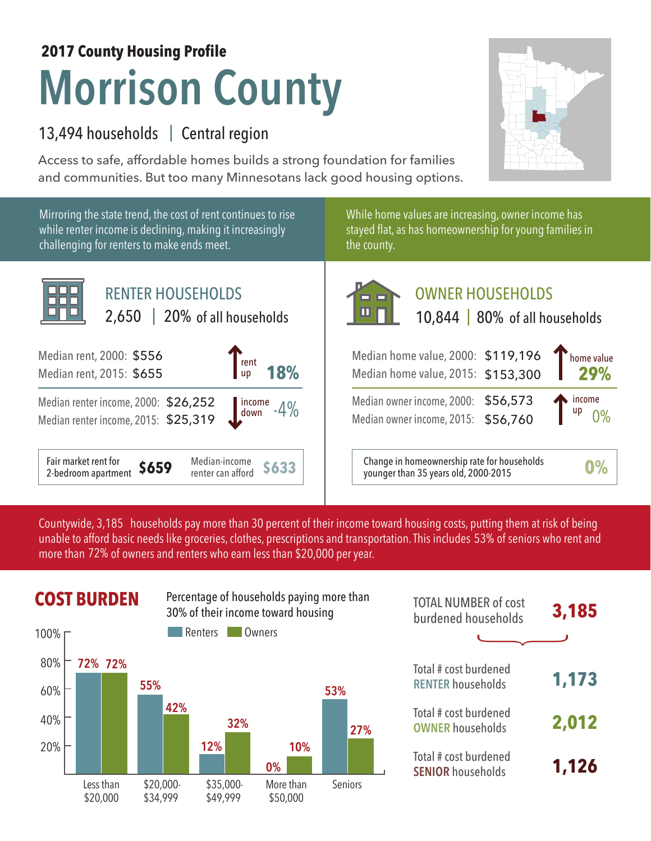## **Morrison County 2017 County Housing Profile**

## 13,494 households | Central region

Access to safe, affordable homes builds a strong foundation for families and communities. But too many Minnesotans lack good housing options.



Countywide, 3,185 households pay more than 30 percent of their income toward housing costs, putting them at risk of being unable to afford basic needs like groceries, clothes, prescriptions and transportation. This includes 53% of seniors who rent and more than 72% of owners and renters who earn less than \$20,000 per year.

## **COST BURDEN** Percentage of households paying more than **TOTAL NUMBER** of cost



| <b>TOTAL NUMBER of cost</b><br>burdened households | 3,185 |
|----------------------------------------------------|-------|
|                                                    |       |
| Total # cost burdened<br><b>RENTER households</b>  | 1,173 |
| Total # cost burdened<br><b>OWNER households</b>   | 2,012 |
| Total # cost burdened<br><b>SENIOR households</b>  | 1,126 |